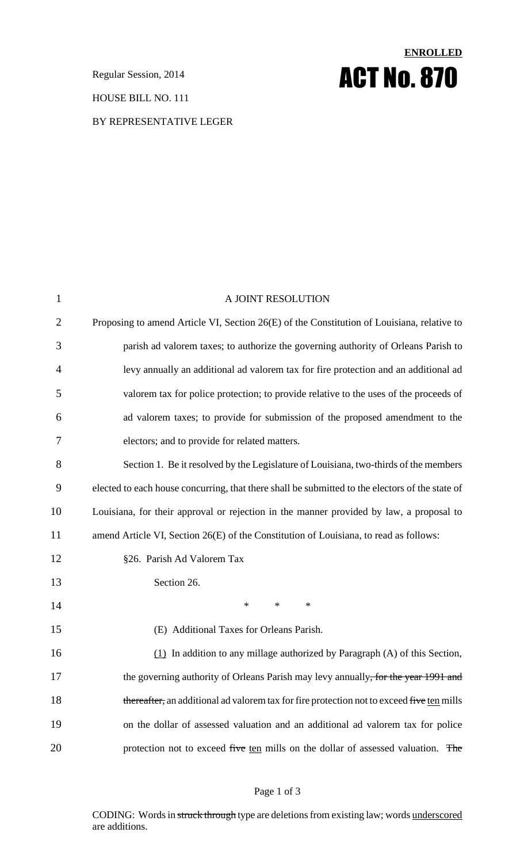HOUSE BILL NO. 111

### BY REPRESENTATIVE LEGER

# **ENROLLED Regular Session, 2014 ACT No. 870**

| $\mathbf{1}$   | A JOINT RESOLUTION                                                                              |
|----------------|-------------------------------------------------------------------------------------------------|
| $\overline{2}$ | Proposing to amend Article VI, Section 26(E) of the Constitution of Louisiana, relative to      |
| 3              | parish ad valorem taxes; to authorize the governing authority of Orleans Parish to              |
| 4              | levy annually an additional ad valorem tax for fire protection and an additional ad             |
| 5              | valorem tax for police protection; to provide relative to the uses of the proceeds of           |
| 6              | ad valorem taxes; to provide for submission of the proposed amendment to the                    |
| 7              | electors; and to provide for related matters.                                                   |
| 8              | Section 1. Be it resolved by the Legislature of Louisiana, two-thirds of the members            |
| 9              | elected to each house concurring, that there shall be submitted to the electors of the state of |
| 10             | Louisiana, for their approval or rejection in the manner provided by law, a proposal to         |
| 11             | amend Article VI, Section 26(E) of the Constitution of Louisiana, to read as follows:           |
| 12             | §26. Parish Ad Valorem Tax                                                                      |
| 13             | Section 26.                                                                                     |
| 14             | $\ast$<br>$\ast$<br>$\ast$                                                                      |
| 15             | (E) Additional Taxes for Orleans Parish.                                                        |
| 16             | $(1)$ In addition to any millage authorized by Paragraph (A) of this Section,                   |
| 17             | the governing authority of Orleans Parish may levy annually <del>, for the year 1991 and</del>  |
| 18             | thereafter, an additional ad valorem tax for fire protection not to exceed five ten mills       |
| 19             | on the dollar of assessed valuation and an additional ad valorem tax for police                 |
| 20             | protection not to exceed five ten mills on the dollar of assessed valuation. The                |

## Page 1 of 3

CODING: Words in struck through type are deletions from existing law; words underscored are additions.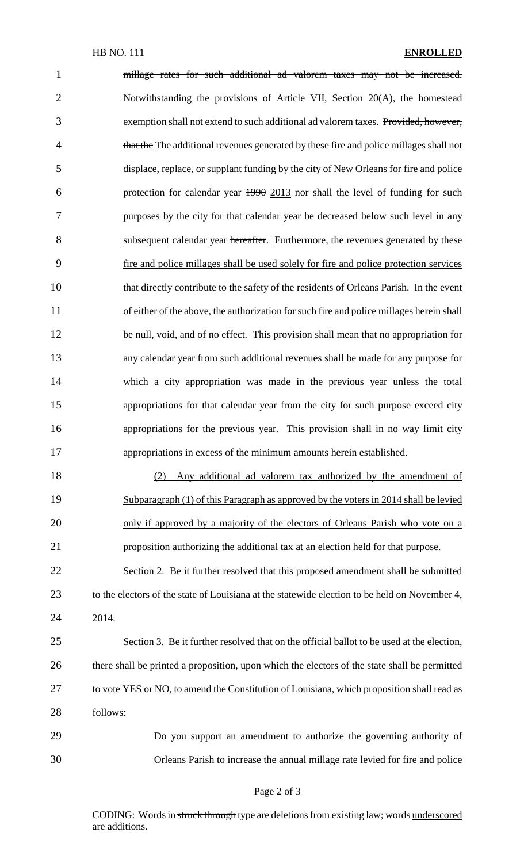| $\mathbf{1}$   | millage rates for such additional ad valorem taxes may not be increased.                      |
|----------------|-----------------------------------------------------------------------------------------------|
| $\overline{2}$ | Notwithstanding the provisions of Article VII, Section 20(A), the homestead                   |
| 3              | exemption shall not extend to such additional ad valorem taxes. Provided, however,            |
| $\overline{4}$ | that the The additional revenues generated by these fire and police millages shall not        |
| 5              | displace, replace, or supplant funding by the city of New Orleans for fire and police         |
| 6              | protection for calendar year 1990 2013 nor shall the level of funding for such                |
| 7              | purposes by the city for that calendar year be decreased below such level in any              |
| 8              | subsequent calendar year hereafter. Furthermore, the revenues generated by these              |
| 9              | fire and police millages shall be used solely for fire and police protection services         |
| 10             | that directly contribute to the safety of the residents of Orleans Parish. In the event       |
| 11             | of either of the above, the authorization for such fire and police millages herein shall      |
| 12             | be null, void, and of no effect. This provision shall mean that no appropriation for          |
| 13             | any calendar year from such additional revenues shall be made for any purpose for             |
| 14             | which a city appropriation was made in the previous year unless the total                     |
| 15             | appropriations for that calendar year from the city for such purpose exceed city              |
| 16             | appropriations for the previous year. This provision shall in no way limit city               |
| 17             | appropriations in excess of the minimum amounts herein established.                           |
| 18             | Any additional ad valorem tax authorized by the amendment of<br>(2)                           |
| 19             | Subparagraph (1) of this Paragraph as approved by the voters in 2014 shall be levied          |
| 20             | only if approved by a majority of the electors of Orleans Parish who vote on a                |
| 21             | proposition authorizing the additional tax at an election held for that purpose.              |
| 22             | Section 2. Be it further resolved that this proposed amendment shall be submitted             |
| 23             | to the electors of the state of Louisiana at the statewide election to be held on November 4, |
|                |                                                                                               |

2014.

 Section 3. Be it further resolved that on the official ballot to be used at the election, there shall be printed a proposition, upon which the electors of the state shall be permitted to vote YES or NO, to amend the Constitution of Louisiana, which proposition shall read as follows:

 Do you support an amendment to authorize the governing authority of Orleans Parish to increase the annual millage rate levied for fire and police

#### Page 2 of 3

CODING: Words in struck through type are deletions from existing law; words underscored are additions.